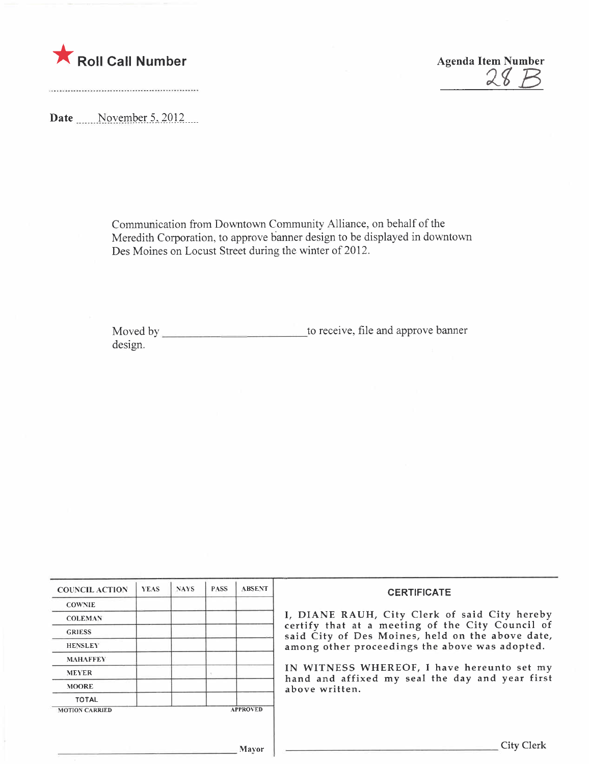

 $\blacksquare$  Roll Call Number  $\mathcal{A}$ genda Item Number  $\mathcal{A} \mathcal{B} \mathcal{B}$ 

Date  $\frac{\text{November 5, 2012}}{\text{November}}$ 

Communication from Downtown Community Alliance, on behalf of the Meredith Corporation, to approve banner design to be displayed in downtown Des Moines on Locust Street during the winter of 2012.

Moved by to receive, file and approve banner design.

| <b>COUNCIL ACTION</b> | <b>YEAS</b> | <b>NAYS</b> | <b>PASS</b> | <b>ABSENT</b>   | <b>CERTIFICATE</b><br>I, DIANE RAUH, City Clerk of said City hereby<br>certify that at a meeting of the City Council of<br>said City of Des Moines, held on the above date,<br>among other proceedings the above was adopted.<br>IN WITNESS WHEREOF, I have hereunto set my<br>hand and affixed my seal the day and year first<br>above written. |
|-----------------------|-------------|-------------|-------------|-----------------|--------------------------------------------------------------------------------------------------------------------------------------------------------------------------------------------------------------------------------------------------------------------------------------------------------------------------------------------------|
| <b>COWNIE</b>         |             |             |             |                 |                                                                                                                                                                                                                                                                                                                                                  |
| <b>COLEMAN</b>        |             |             |             |                 |                                                                                                                                                                                                                                                                                                                                                  |
| <b>GRIESS</b>         |             |             |             |                 |                                                                                                                                                                                                                                                                                                                                                  |
| <b>HENSLEY</b>        |             |             |             |                 |                                                                                                                                                                                                                                                                                                                                                  |
| <b>MAHAFFEY</b>       |             |             |             |                 |                                                                                                                                                                                                                                                                                                                                                  |
| <b>MEYER</b>          |             |             |             |                 |                                                                                                                                                                                                                                                                                                                                                  |
| <b>MOORE</b>          |             |             |             |                 |                                                                                                                                                                                                                                                                                                                                                  |
| <b>TOTAL</b>          |             |             |             |                 |                                                                                                                                                                                                                                                                                                                                                  |
| <b>MOTION CARRIED</b> |             |             |             | <b>APPROVED</b> |                                                                                                                                                                                                                                                                                                                                                  |
|                       |             |             |             |                 |                                                                                                                                                                                                                                                                                                                                                  |
|                       |             |             |             |                 | City Clerk                                                                                                                                                                                                                                                                                                                                       |
| Mayor                 |             |             |             |                 |                                                                                                                                                                                                                                                                                                                                                  |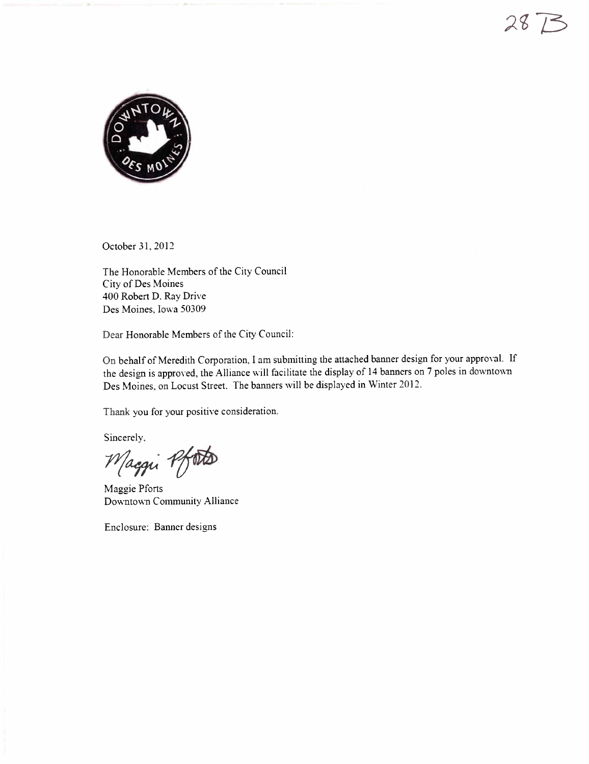

October 31, 2012

The Honorable Members of the City Council City of Des Moines 400 Robert D. Ray Drive Des Moines, Iowa 50309

Dear Honorable Members of the City Council:

On behalf of Meredith Corporation, I am submitting the attached banner design for your approval. If the design is approved, the Alliance will facilitate the display of 14 banners on 7 poles in downtown Des Moines, on Locust Street. The banners will be displayed in Winter 2012.

Thank you for your positive consideration.

Sincerely,

Maggi Pfoto

Maggie Pforts Downtown Community Alliance

Enclosure: Banner designs